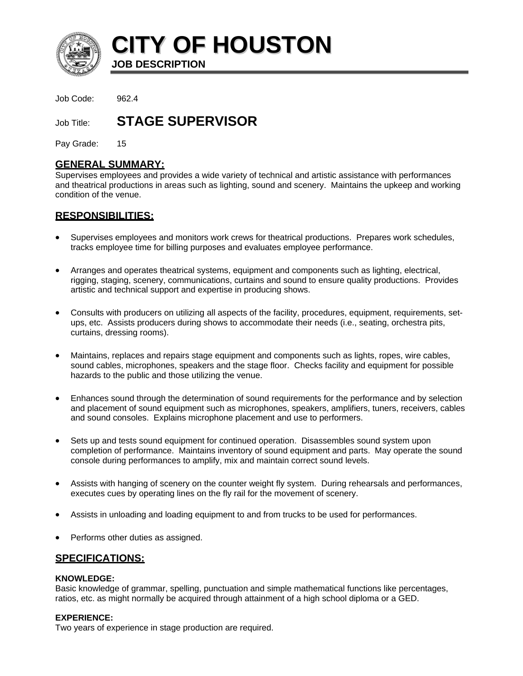

**CITY OF HOUSTON**

**JOB DESCRIPTION** 

Job Code: 962.4

Job Title: **STAGE SUPERVISOR**

Pay Grade: 15

## **GENERAL SUMMARY:**

Supervises employees and provides a wide variety of technical and artistic assistance with performances and theatrical productions in areas such as lighting, sound and scenery. Maintains the upkeep and working condition of the venue.

# **RESPONSIBILITIES:**

- Supervises employees and monitors work crews for theatrical productions. Prepares work schedules, tracks employee time for billing purposes and evaluates employee performance.
- Arranges and operates theatrical systems, equipment and components such as lighting, electrical, rigging, staging, scenery, communications, curtains and sound to ensure quality productions. Provides artistic and technical support and expertise in producing shows.
- Consults with producers on utilizing all aspects of the facility, procedures, equipment, requirements, setups, etc. Assists producers during shows to accommodate their needs (i.e., seating, orchestra pits, curtains, dressing rooms).
- Maintains, replaces and repairs stage equipment and components such as lights, ropes, wire cables, sound cables, microphones, speakers and the stage floor. Checks facility and equipment for possible hazards to the public and those utilizing the venue.
- Enhances sound through the determination of sound requirements for the performance and by selection and placement of sound equipment such as microphones, speakers, amplifiers, tuners, receivers, cables and sound consoles. Explains microphone placement and use to performers.
- Sets up and tests sound equipment for continued operation. Disassembles sound system upon completion of performance. Maintains inventory of sound equipment and parts. May operate the sound console during performances to amplify, mix and maintain correct sound levels.
- Assists with hanging of scenery on the counter weight fly system. During rehearsals and performances, executes cues by operating lines on the fly rail for the movement of scenery.
- Assists in unloading and loading equipment to and from trucks to be used for performances.
- Performs other duties as assigned.

## **SPECIFICATIONS:**

## **KNOWLEDGE:**

Basic knowledge of grammar, spelling, punctuation and simple mathematical functions like percentages, ratios, etc. as might normally be acquired through attainment of a high school diploma or a GED.

## **EXPERIENCE:**

Two years of experience in stage production are required.